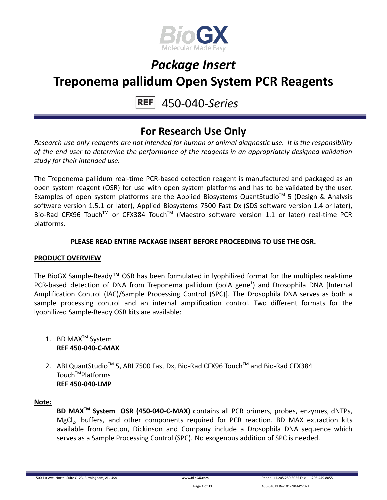

#### 450-040-*Series* **REF**

### **For Research Use Only**

*Research use only reagents are not intended for human or animal diagnostic use. It is the responsibility of the end user to determine the performance of the reagents in an appropriately designed validation study for their intended use.*

The Treponema pallidum real-time PCR-based detection reagent is manufactured and packaged as an open system reagent (OSR) for use with open system platforms and has to be validated by the user. Examples of open system platforms are the Applied Biosystems QuantStudio™ 5 (Design & Analysis software version 1.5.1 or later), Applied Biosystems 7500 Fast Dx (SDS software version 1.4 or later), Bio-Rad CFX96 Touch™ or CFX384 Touch™ (Maestro software version 1.1 or later) real-time PCR platforms.

#### **PLEASE READ ENTIRE PACKAGE INSERT BEFORE PROCEEDING TO USE THE OSR.**

#### **PRODUCT OVERVIEW**

The BioGX Sample-Ready™ OSR has been formulated in lyophilized format for the multiplex real-time PCR-based detection of DNA from Treponema pallidum (polA gene<sup>1</sup>) and Drosophila DNA [Internal Amplification Control (IAC)/Sample Processing Control (SPC)]. The Drosophila DNA serves as both a sample processing control and an internal amplification control. Two different formats for the lyophilized Sample-Ready OSR kits are available:

- 1. BD MAX<sup>™</sup> System **REF 450-040-C-MAX**
- 2. ABI QuantStudio<sup>™</sup> 5, ABI 7500 Fast Dx, Bio-Rad CFX96 Touch™ and Bio-Rad CFX384 Touch<sup>™</sup>Platforms **REF 450-040-LMP**

#### **Note:**

**BD MAXTM System OSR (450-040-C-MAX)** contains all PCR primers, probes, enzymes, dNTPs, MgCl<sub>2</sub>, buffers, and other components required for PCR reaction. BD MAX extraction kits available from Becton, Dickinson and Company include a Drosophila DNA sequence which serves as a Sample Processing Control (SPC). No exogenous addition of SPC is needed.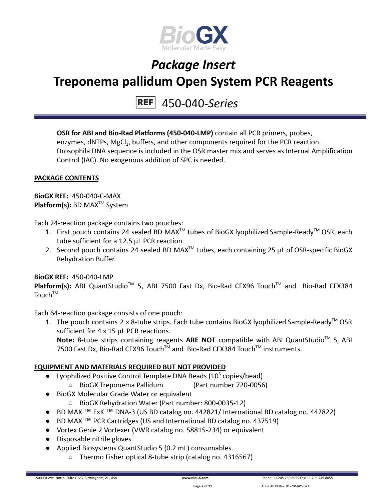

450-040-*Series*

**OSR for ABI and Bio-Rad Platforms (450-040-LMP)** contain all PCR primers, probes, enzymes, dNTPs, MgCl<sub>2</sub>, buffers, and other components required for the PCR reaction. Drosophila DNA sequence is included in the OSR master mix and serves as Internal Amplification Control (IAC). No exogenous addition of SPC is needed.

#### **PACKAGE CONTENTS**

**BioGX REF:** 450-040-C-MAX **Platform(s):** BD MAX<sup>™</sup> System

Each 24-reaction package contains two pouches:

- 1. First pouch contains 24 sealed BD MAX<sup>™</sup> tubes of BioGX lyophilized Sample-Ready<sup>™</sup> OSR, each tube sufficient for a 12.5 µL PCR reaction.
- 2. Second pouch contains 24 sealed BD MAX<sup>™</sup> tubes, each containing 25  $\mu$ L of OSR-specific BioGX Rehydration Buffer.

#### **BioGX REF:** 450-040-LMP

Platform(s): ABI QuantStudio<sup>™</sup> 5, ABI 7500 Fast Dx, Bio-Rad CFX96 Touch<sup>™</sup> and Bio-Rad CFX384 Touch<sup>TM</sup>

Each 64-reaction package consists of one pouch:

1. The pouch contains 2 x 8-tube strips. Each tube contains BioGX lyophilized Sample-Ready<sup>™</sup> OSR sufficient for 4 x 15 uL PCR reactions. Note: 8-tube strips containing reagents ARE NOT compatible with ABI QuantStudio<sup>™</sup> 5, ABI 7500 Fast Dx, Bio-Rad CFX96 Touch™ and Bio-Rad CFX384 Touch™ instruments.

#### **EQUIPMENT AND MATERIALS REQUIRED BUT NOT PROVIDED**

- Lyophilized Positive Control Template DNA Beads  $(10^5 \text{ copies/head})$ 
	- BioGX Treponema Pallidum (Part number 720-0056)
- BioGX Molecular Grade Water or equivalent
	- BioGX Rehydration Water (Part number: 800-0035-12)
- BD MAX ™ ExK ™ DNA-3 (US BD catalog no. 442821/ International BD catalog no. 442822)
- BD MAX ™ PCR Cartridges (US and International BD catalog no. 437519)
- Vortex Genie 2 Vortexer (VWR catalog no. 58815-234) or equivalent
- Disposable nitrile gloves
- Applied Biosystems QuantStudio 5 (0.2 mL) consumables.
	- Thermo Fisher optical 8-tube strip (catalog no. 4316567)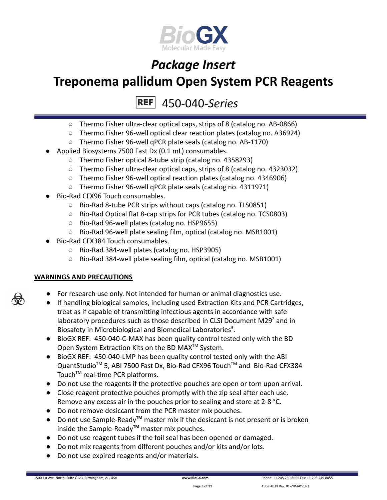

450-040-*Series* **REF** 

- Thermo Fisher ultra-clear optical caps, strips of 8 (catalog no. AB-0866)
- Thermo Fisher 96-well optical clear reaction plates (catalog no. A36924)
- Thermo Fisher 96-well qPCR plate seals (catalog no. AB-1170)
- Applied Biosystems 7500 Fast Dx (0.1 mL) consumables.
	- Thermo Fisher optical 8-tube strip (catalog no. 4358293)
	- Thermo Fisher ultra-clear optical caps, strips of 8 (catalog no. 4323032)
	- Thermo Fisher 96-well optical reaction plates (catalog no. 4346906)
	- Thermo Fisher 96-well qPCR plate seals (catalog no. 4311971)
- Bio-Rad CFX96 Touch consumables.
	- Bio-Rad 8-tube PCR strips without caps (catalog no. TLS0851)
	- Bio-Rad Optical flat 8-cap strips for PCR tubes (catalog no. TCS0803)
	- Bio-Rad 96-well plates (catalog no. HSP9655)
	- Bio-Rad 96-well plate sealing film, optical (catalog no. MSB1001)
- Bio-Rad CFX384 Touch consumables.
	- Bio-Rad 384-well plates (catalog no. HSP3905)
	- Bio-Rad 384-well plate sealing film, optical (catalog no. MSB1001)

#### **WARNINGS AND PRECAUTIONS**

- For research use only. Not intended for human or animal diagnostics use.
- If handling biological samples, including used Extraction Kits and PCR Cartridges, treat as if capable of transmitting infectious agents in accordance with safe laboratory procedures such as those described in CLSI Document M29 $2$  and in Biosafety in Microbiological and Biomedical Laboratories<sup>3</sup>.
- BioGX REF: 450-040-C-MAX has been quality control tested only with the BD Open System Extraction Kits on the BD MAX<sup>™</sup> System.
- BioGX REF: 450-040-LMP has been quality control tested only with the ABI QuantStudio<sup>™</sup> 5, ABI 7500 Fast Dx, Bio-Rad CFX96 Touch™ and Bio-Rad CFX384 Touch<sup>™</sup> real-time PCR platforms.
- Do not use the reagents if the protective pouches are open or torn upon arrival.
- Close reagent protective pouches promptly with the zip seal after each use. Remove any excess air in the pouches prior to sealing and store at 2-8 °C.
- Do not remove desiccant from the PCR master mix pouches.
- Do not use Sample-Ready**TM** master mix if the desiccant is not present or is broken inside the Sample-Ready**TM** master mix pouches.
- Do not use reagent tubes if the foil seal has been opened or damaged.
- Do not mix reagents from different pouches and/or kits and/or lots.
- Do not use expired reagents and/or materials.



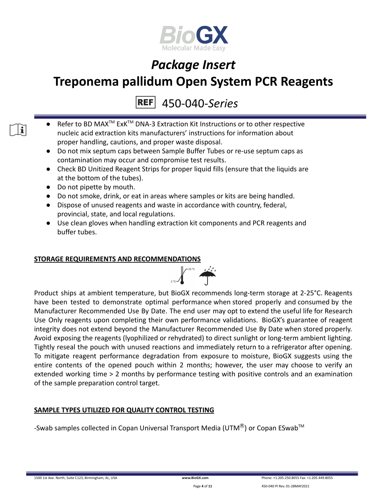

450-040-*Series* **REF** 

- Refer to BD MAX<sup>™</sup> ExK<sup>™</sup> DNA-3 Extraction Kit Instructions or to other respective nucleic acid extraction kits manufacturers' instructions for information about proper handling, cautions, and proper waste disposal.
- Do not mix septum caps between Sample Buffer Tubes or re-use septum caps as contamination may occur and compromise test results.
- Check BD Unitized Reagent Strips for proper liquid fills (ensure that the liquids are at the bottom of the tubes).
- Do not pipette by mouth.

 $\mathbf i$   $\mathbf i$ 

- Do not smoke, drink, or eat in areas where samples or kits are being handled.
- Dispose of unused reagents and waste in accordance with country, federal, provincial, state, and local regulations.
- Use clean gloves when handling extraction kit components and PCR reagents and buffer tubes.

#### **STORAGE REQUIREMENTS AND RECOMMENDATIONS**



Product ships at ambient temperature, but BioGX recommends long-term storage at 2-25°C. Reagents have been tested to demonstrate optimal performance when stored properly and consumed by the Manufacturer Recommended Use By Date. The end user may opt to extend the useful life for Research Use Only reagents upon completing their own performance validations. BioGX's guarantee of reagent integrity does not extend beyond the Manufacturer Recommended Use By Date when stored properly. Avoid exposing the reagents (lyophilized or rehydrated) to direct sunlight or long-term ambient lighting. Tightly reseal the pouch with unused reactions and immediately return to a refrigerator after opening. To mitigate reagent performance degradation from exposure to moisture, BioGX suggests using the entire contents of the opened pouch within 2 months; however, the user may choose to verify an extended working time > 2 months by performance testing with positive controls and an examination of the sample preparation control target.

#### **SAMPLE TYPES UTILIZED FOR QUALITY CONTROL TESTING**

-Swab samples collected in Copan Universal Transport Media (UTM $^{\circledR}$ ) or Copan ESwab<sup>TM</sup>

1500 1st Ave. North, Suite C123, Birmingham, AL, USA **[www.BioGX.com](http://www.biogx.com/eu)** Phone: +1.205.250.8055 Fax: +1.205.449.8055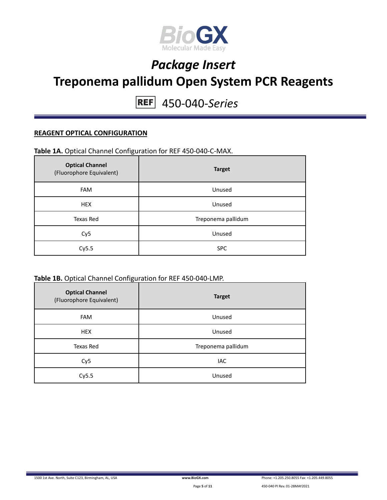

450-040-*Series* **REF** 

#### **REAGENT OPTICAL CONFIGURATION**

#### **Table 1A.** Optical Channel Configuration for REF 450-040-C-MAX.

| <b>Optical Channel</b><br>(Fluorophore Equivalent) | <b>Target</b>      |
|----------------------------------------------------|--------------------|
| <b>FAM</b>                                         | Unused             |
| <b>HEX</b>                                         | Unused             |
| Texas Red                                          | Treponema pallidum |
| Cy <sub>5</sub>                                    | Unused             |
| Cy5.5                                              | <b>SPC</b>         |

#### **Table 1B.** Optical Channel Configuration for REF 450-040-LMP.

| <b>Optical Channel</b><br>(Fluorophore Equivalent) | <b>Target</b>      |
|----------------------------------------------------|--------------------|
| <b>FAM</b>                                         | Unused             |
| <b>HEX</b>                                         | Unused             |
| Texas Red                                          | Treponema pallidum |
| Cy <sub>5</sub>                                    | IAC                |
| Cy5.5                                              | Unused             |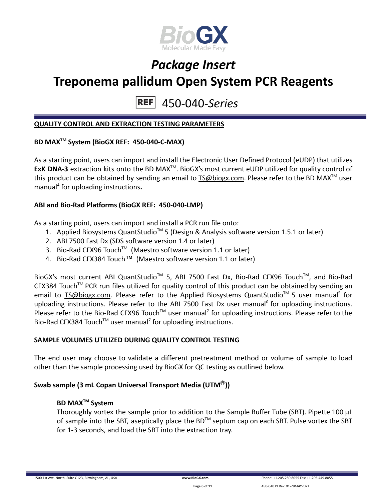

450-040-*Series* **REF** 

#### **QUALITY CONTROL AND EXTRACTION TESTING PARAMETERS**

#### **BD MAXTM System (BioGX REF: 450-040-C-MAX)**

As a starting point, users can import and install the Electronic User Defined Protocol (eUDP) that utilizes ExK DNA-3 extraction kits onto the BD MAX<sup>™</sup>. BioGX's most current eUDP utilized for quality control of this product can be obtained by sending an email to [TS@biogx.com](mailto:TS@biogx.com). Please refer to the BD MAX<sup>TM</sup> user manual<sup>4</sup> for uploading instructions**.**

#### **ABI and Bio-Rad Platforms (BioGX REF: 450-040-LMP)**

As a starting point, users can import and install a PCR run file onto:

- 1. Applied Biosystems QuantStudio<sup>™</sup> 5 (Design & Analysis software version 1.5.1 or later)
- 2. ABI 7500 Fast Dx (SDS software version 1.4 or later)
- 3. Bio-Rad CFX96 Touch<sup>™</sup> (Maestro software version 1.1 or later)
- 4. Bio-Rad CFX384 Touch™ (Maestro software version 1.1 or later)

BioGX's most current ABI QuantStudio<sup>™</sup> 5, ABI 7500 Fast Dx, Bio-Rad CFX96 Touch™, and Bio-Rad CFX384 Touch™ PCR run files utilized for quality control of this product can be obtained by sending an email to **[TS@biogx.com.](mailto:TS@biogx.com)** Please refer to the Applied Biosystems QuantStudio<sup>™</sup> 5 user manual<sup>5</sup> for uploading instructions. Please refer to the ABI 7500 Fast Dx user manual<sup>6</sup> for uploading instructions. Please refer to the Bio-Rad CFX96 Touch<sup>™</sup> user manual<sup>7</sup> for uploading instructions. Please refer to the Bio-Rad CFX384 Touch<sup>™</sup> user manual<sup>7</sup> for uploading instructions.

#### **SAMPLE VOLUMES UTILIZED DURING QUALITY CONTROL TESTING**

The end user may choose to validate a different pretreatment method or volume of sample to load other than the sample processing used by BioGX for QC testing as outlined below.

#### **Swab sample (3 mL Copan Universal Transport Media (UTM**Ⓡ**))**

#### **BD MAXTM System**

Thoroughly vortex the sample prior to addition to the Sample Buffer Tube (SBT). Pipette 100 μL of sample into the SBT, aseptically place the BD<sup>TM</sup> septum cap on each SBT. Pulse vortex the SBT for 1-3 seconds, and load the SBT into the extraction tray.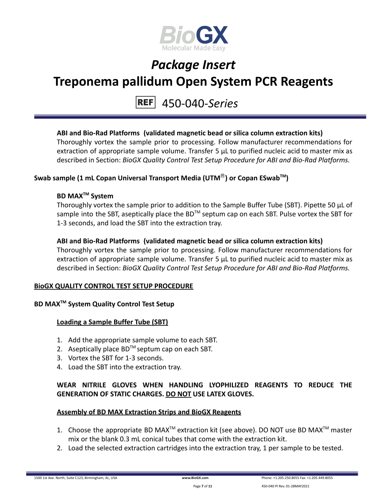

### 450-040-*Series*

#### **ABI and Bio-Rad Platforms (validated magnetic bead or silica column extraction kits)**

Thoroughly vortex the sample prior to processing. Follow manufacturer recommendations for extraction of appropriate sample volume. Transfer 5 μL to purified nucleic acid to master mix as described in Section: *BioGX Quality Control Test Setup Procedure for ABI and Bio-Rad Platforms.*

#### **Swab sample (1 mL Copan Universal Transport Media (UTM**Ⓡ**) or Copan ESwabTM )**

#### **BD MAXTM System**

Thoroughly vortex the sample prior to addition to the Sample Buffer Tube (SBT). Pipette 50 μL of sample into the SBT, aseptically place the BD<sup>™</sup> septum cap on each SBT. Pulse vortex the SBT for 1-3 seconds, and load the SBT into the extraction tray.

#### **ABI and Bio-Rad Platforms (validated magnetic bead or silica column extraction kits)**

Thoroughly vortex the sample prior to processing. Follow manufacturer recommendations for extraction of appropriate sample volume. Transfer 5 μL to purified nucleic acid to master mix as described in Section: *BioGX Quality Control Test Setup Procedure for ABI and Bio-Rad Platforms.*

#### **BioGX QUALITY CONTROL TEST SETUP PROCEDURE**

#### **BD MAXTM System Quality Control Test Setup**

#### **Loading a Sample Buffer Tube (SBT)**

- 1. Add the appropriate sample volume to each SBT.
- 2. Aseptically place  $BD^{TM}$  septum cap on each SBT.
- 3. Vortex the SBT for 1-3 seconds.
- 4. Load the SBT into the extraction tray.

#### **WEAR NITRILE GLOVES WHEN HANDLING LYOPHILIZED REAGENTS TO REDUCE THE GENERATION OF STATIC CHARGES. DO NOT USE LATEX GLOVES.**

#### **Assembly of BD MAX Extraction Strips and BioGX Reagents**

- 1. Choose the appropriate BD MAX<sup>TM</sup> extraction kit (see above). DO NOT use BD MAX<sup>TM</sup> master mix or the blank 0.3 mL conical tubes that come with the extraction kit.
- 2. Load the selected extraction cartridges into the extraction tray, 1 per sample to be tested.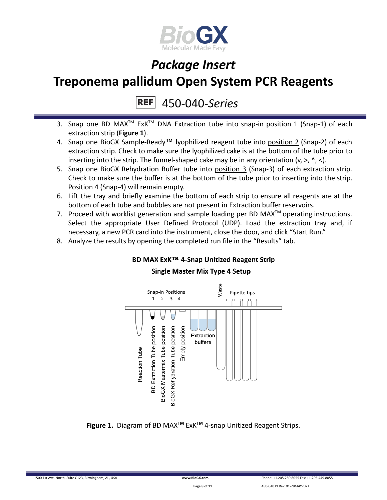

# *Package Insert*

### **Treponema pallidum Open System PCR Reagents**

450-040-*Series* **REF** 

- 3. Snap one BD MAX<sup>™</sup> ExK<sup>™</sup> DNA Extraction tube into snap-in position 1 (Snap-1) of each extraction strip (**Figure 1**).
- 4. Snap one BioGX Sample-Ready™ lyophilized reagent tube into position 2 (Snap-2) of each extraction strip. Check to make sure the lyophilized cake is at the bottom of the tube prior to inserting into the strip. The funnel-shaped cake may be in any orientation  $(v, >, \land, <)$ .
- 5. Snap one BioGX Rehydration Buffer tube into position 3 (Snap-3) of each extraction strip. Check to make sure the buffer is at the bottom of the tube prior to inserting into the strip. Position 4 (Snap-4) will remain empty.
- 6. Lift the tray and briefly examine the bottom of each strip to ensure all reagents are at the bottom of each tube and bubbles are not present in Extraction buffer reservoirs.
- 7. Proceed with worklist generation and sample loading per BD MAX $^{TM}$  operating instructions. Select the appropriate User Defined Protocol (UDP). Load the extraction tray and, if necessary, a new PCR card into the instrument, close the door, and click "Start Run."
- 8. Analyze the results by opening the completed run file in the "Results" tab.

#### BD MAX ExK™ 4-Snap Unitized Reagent Strip **Single Master Mix Type 4 Setup**



**Figure 1.** Diagram of BD MAX**TM** ExK**TM** 4-snap Unitized Reagent Strips.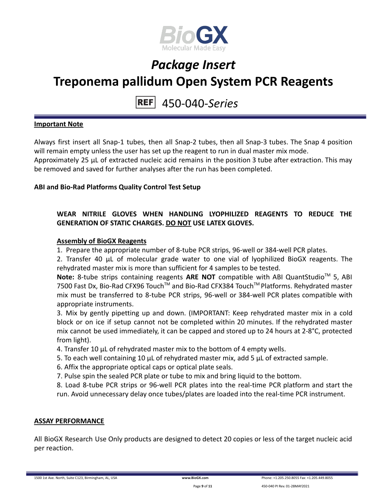

#### 450-040-*Series* **REF**

#### **Important Note**

Always first insert all Snap-1 tubes, then all Snap-2 tubes, then all Snap-3 tubes. The Snap 4 position will remain empty unless the user has set up the reagent to run in dual master mix mode. Approximately 25 µL of extracted nucleic acid remains in the position 3 tube after extraction. This may be removed and saved for further analyses after the run has been completed.

#### **ABI and Bio-Rad Platforms Quality Control Test Setup**

#### **WEAR NITRILE GLOVES WHEN HANDLING LYOPHILIZED REAGENTS TO REDUCE THE GENERATION OF STATIC CHARGES. DO NOT USE LATEX GLOVES.**

#### **Assembly of BioGX Reagents**

1. Prepare the appropriate number of 8-tube PCR strips, 96-well or 384-well PCR plates.

2. Transfer 40 μL of molecular grade water to one vial of lyophilized BioGX reagents. The rehydrated master mix is more than sufficient for 4 samples to be tested.

Note: 8-tube strips containing reagents ARE NOT compatible with ABI QuantStudio<sup>™</sup> 5, ABI 7500 Fast Dx, Bio-Rad CFX96 Touch™ and Bio-Rad CFX384 Touch™ Platforms. Rehydrated master mix must be transferred to 8-tube PCR strips, 96-well or 384-well PCR plates compatible with appropriate instruments.

3. Mix by gently pipetting up and down. (IMPORTANT: Keep rehydrated master mix in a cold block or on ice if setup cannot not be completed within 20 minutes. If the rehydrated master mix cannot be used immediately, it can be capped and stored up to 24 hours at 2-8°C, protected from light).

4. Transfer 10 μL of rehydrated master mix to the bottom of 4 empty wells.

- 5. To each well containing 10 μL of rehydrated master mix, add 5 μL of extracted sample.
- 6. Affix the appropriate optical caps or optical plate seals.

7. Pulse spin the sealed PCR plate or tube to mix and bring liquid to the bottom.

8. Load 8-tube PCR strips or 96-well PCR plates into the real-time PCR platform and start the run. Avoid unnecessary delay once tubes/plates are loaded into the real-time PCR instrument.

#### **ASSAY PERFORMANCE**

All BioGX Research Use Only products are designed to detect 20 copies or less of the target nucleic acid per reaction.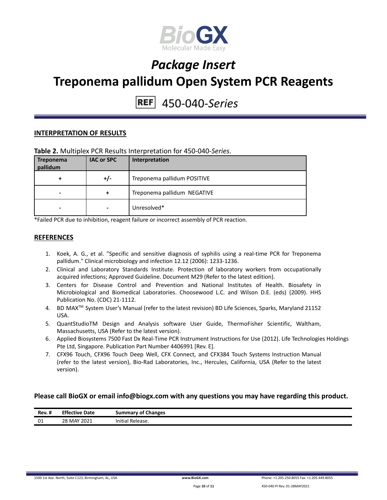

# 450-040-*Series*

#### **INTERPRETATION OF RESULTS**

#### **Table 2.** Multiplex PCR Results Interpretation for 450-040-*Series*.

| <b>Treponema</b><br>pallidum | <b>IAC or SPC</b> | Interpretation              |
|------------------------------|-------------------|-----------------------------|
| +                            | +/-               | Treponema pallidum POSITIVE |
| -                            | +                 | Treponema pallidum NEGATIVE |
| -                            |                   | Unresolved*                 |

\*Failed PCR due to inhibition, reagent failure or incorrect assembly of PCR reaction.

#### **REFERENCES**

- 1. Koek, A. G., et al. "Specific and sensitive diagnosis of syphilis using a real-time PCR for Treponema pallidum." Clinical microbiology and infection 12.12 (2006): 1233-1236.
- 2. Clinical and Laboratory Standards Institute. Protection of laboratory workers from occupationally acquired infections; Approved Guideline. Document M29 (Refer to the latest edition).
- 3. Centers for Disease Control and Prevention and National Institutes of Health. Biosafety in Microbiological and Biomedical Laboratories. Choosewood L.C. and Wilson D.E. (eds) (2009). HHS Publication No. (CDC) 21-1112.
- 4. BD MAX TM System User's Manual (refer to the latest revision) BD Life Sciences, Sparks, Maryland 21152 USA.
- 5. QuantStudioTM Design and Analysis software User Guide, ThermoFisher Scientific, Waltham, Massachusetts, USA (Refer to the latest version).
- 6. Applied Biosystems 7500 Fast Dx Real-Time PCR Instrument Instructions for Use (2012). Life Technologies Holdings Pte Ltd, Singapore. Publication Part Number 4406991 [Rev. E].
- 7. CFX96 Touch, CFX96 Touch Deep Well, CFX Connect, and CFX384 Touch Systems Instruction Manual (refer to the latest version), Bio-Rad Laboratories, Inc., Hercules, California, USA (Refer to the latest version).

#### **Please call BioGX or email info@biogx.com with any questions you may have regarding this product.**

| Rev. # | <b>Effective</b><br>Date | <b>Summary of Changes</b>       |
|--------|--------------------------|---------------------------------|
| 01     | 28 MAY 2021<br>$-$       | $\cdots$<br>Initial<br>Release. |